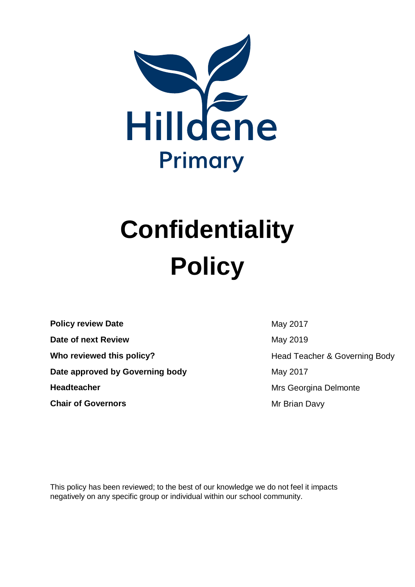

# **Confidentiality Policy**

**Policy review Date** May 2017 **Date of next Review May 2019 Who reviewed this policy?** Motor Head Teacher & Governing Body **Date approved by Governing body** May 2017 **Headteacher** Mrs Georgina Delmonte **Chair of Governors Mr Brian Davy** 

This policy has been reviewed; to the best of our knowledge we do not feel it impacts negatively on any specific group or individual within our school community.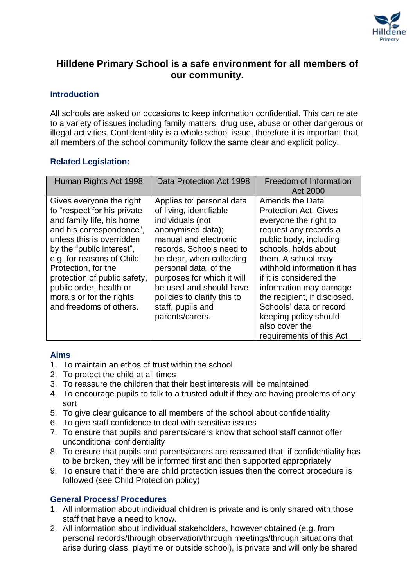

# **Hilldene Primary School is a safe environment for all members of our community.**

# **Introduction**

All schools are asked on occasions to keep information confidential. This can relate to a variety of issues including family matters, drug use, abuse or other dangerous or illegal activities. Confidentiality is a whole school issue, therefore it is important that all members of the school community follow the same clear and explicit policy.

# **Related Legislation:**

| Human Rights Act 1998                                                                                                                                                                                                                                                                                                                            | Data Protection Act 1998                                                                                                                                                                                                                                                                                                                 | Freedom of Information<br>Act 2000                                                                                                                                                                                                                                                                                                                                                              |
|--------------------------------------------------------------------------------------------------------------------------------------------------------------------------------------------------------------------------------------------------------------------------------------------------------------------------------------------------|------------------------------------------------------------------------------------------------------------------------------------------------------------------------------------------------------------------------------------------------------------------------------------------------------------------------------------------|-------------------------------------------------------------------------------------------------------------------------------------------------------------------------------------------------------------------------------------------------------------------------------------------------------------------------------------------------------------------------------------------------|
| Gives everyone the right<br>to "respect for his private<br>and family life, his home<br>and his correspondence",<br>unless this is overridden<br>by the "public interest",<br>e.g. for reasons of Child<br>Protection, for the<br>protection of public safety,<br>public order, health or<br>morals or for the rights<br>and freedoms of others. | Applies to: personal data<br>of living, identifiable<br>individuals (not<br>anonymised data);<br>manual and electronic<br>records. Schools need to<br>be clear, when collecting<br>personal data, of the<br>purposes for which it will<br>be used and should have<br>policies to clarify this to<br>staff, pupils and<br>parents/carers. | Amends the Data<br><b>Protection Act. Gives</b><br>everyone the right to<br>request any records a<br>public body, including<br>schools, holds about<br>them. A school may<br>withhold information it has<br>if it is considered the<br>information may damage<br>the recipient, if disclosed.<br>Schools' data or record<br>keeping policy should<br>also cover the<br>requirements of this Act |

# **Aims**

- 1. To maintain an ethos of trust within the school
- 2. To protect the child at all times
- 3. To reassure the children that their best interests will be maintained
- 4. To encourage pupils to talk to a trusted adult if they are having problems of any sort
- 5. To give clear guidance to all members of the school about confidentiality
- 6. To give staff confidence to deal with sensitive issues
- 7. To ensure that pupils and parents/carers know that school staff cannot offer unconditional confidentiality
- 8. To ensure that pupils and parents/carers are reassured that, if confidentiality has to be broken, they will be informed first and then supported appropriately
- 9. To ensure that if there are child protection issues then the correct procedure is followed (see Child Protection policy)

# **General Process/ Procedures**

- 1. All information about individual children is private and is only shared with those staff that have a need to know.
- 2. All information about individual stakeholders, however obtained (e.g. from personal records/through observation/through meetings/through situations that arise during class, playtime or outside school), is private and will only be shared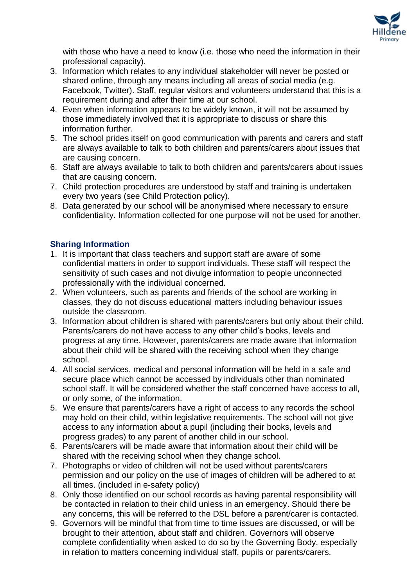

with those who have a need to know (i.e. those who need the information in their professional capacity).

- 3. Information which relates to any individual stakeholder will never be posted or shared online, through any means including all areas of social media (e.g. Facebook, Twitter). Staff, regular visitors and volunteers understand that this is a requirement during and after their time at our school.
- 4. Even when information appears to be widely known, it will not be assumed by those immediately involved that it is appropriate to discuss or share this information further.
- 5. The school prides itself on good communication with parents and carers and staff are always available to talk to both children and parents/carers about issues that are causing concern.
- 6. Staff are always available to talk to both children and parents/carers about issues that are causing concern.
- 7. Child protection procedures are understood by staff and training is undertaken every two years (see Child Protection policy).
- 8. Data generated by our school will be anonymised where necessary to ensure confidentiality. Information collected for one purpose will not be used for another.

# **Sharing Information**

- 1. It is important that class teachers and support staff are aware of some confidential matters in order to support individuals. These staff will respect the sensitivity of such cases and not divulge information to people unconnected professionally with the individual concerned.
- 2. When volunteers, such as parents and friends of the school are working in classes, they do not discuss educational matters including behaviour issues outside the classroom.
- 3. Information about children is shared with parents/carers but only about their child. Parents/carers do not have access to any other child's books, levels and progress at any time. However, parents/carers are made aware that information about their child will be shared with the receiving school when they change school.
- 4. All social services, medical and personal information will be held in a safe and secure place which cannot be accessed by individuals other than nominated school staff. It will be considered whether the staff concerned have access to all, or only some, of the information.
- 5. We ensure that parents/carers have a right of access to any records the school may hold on their child, within legislative requirements. The school will not give access to any information about a pupil (including their books, levels and progress grades) to any parent of another child in our school.
- 6. Parents/carers will be made aware that information about their child will be shared with the receiving school when they change school.
- 7. Photographs or video of children will not be used without parents/carers permission and our policy on the use of images of children will be adhered to at all times. (included in e-safety policy)
- 8. Only those identified on our school records as having parental responsibility will be contacted in relation to their child unless in an emergency. Should there be any concerns, this will be referred to the DSL before a parent/carer is contacted.
- 9. Governors will be mindful that from time to time issues are discussed, or will be brought to their attention, about staff and children. Governors will observe complete confidentiality when asked to do so by the Governing Body, especially in relation to matters concerning individual staff, pupils or parents/carers.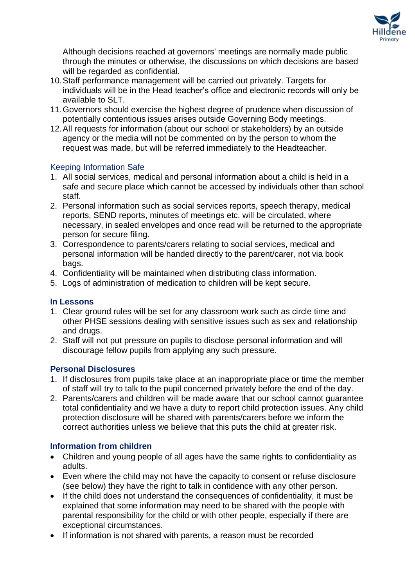

Although decisions reached at governors' meetings are normally made public through the minutes or otherwise, the discussions on which decisions are based will be regarded as confidential.

- 10.Staff performance management will be carried out privately. Targets for individuals will be in the Head teacher's office and electronic records will only be available to SLT.
- 11.Governors should exercise the highest degree of prudence when discussion of potentially contentious issues arises outside Governing Body meetings.
- 12.All requests for information (about our school or stakeholders) by an outside agency or the media will not be commented on by the person to whom the request was made, but will be referred immediately to the Headteacher.

# Keeping Information Safe

- 1. All social services, medical and personal information about a child is held in a safe and secure place which cannot be accessed by individuals other than school staff.
- 2. Personal information such as social services reports, speech therapy, medical reports, SEND reports, minutes of meetings etc. will be circulated, where necessary, in sealed envelopes and once read will be returned to the appropriate person for secure filing.
- 3. Correspondence to parents/carers relating to social services, medical and personal information will be handed directly to the parent/carer, not via book bags.
- 4. Confidentiality will be maintained when distributing class information.
- 5. Logs of administration of medication to children will be kept secure.

# **In Lessons**

- 1. Clear ground rules will be set for any classroom work such as circle time and other PHSE sessions dealing with sensitive issues such as sex and relationship and drugs.
- 2. Staff will not put pressure on pupils to disclose personal information and will discourage fellow pupils from applying any such pressure.

# **Personal Disclosures**

- 1. If disclosures from pupils take place at an inappropriate place or time the member of staff will try to talk to the pupil concerned privately before the end of the day.
- 2. Parents/carers and children will be made aware that our school cannot guarantee total confidentiality and we have a duty to report child protection issues. Any child protection disclosure will be shared with parents/carers before we inform the correct authorities unless we believe that this puts the child at greater risk.

# **Information from children**

- Children and young people of all ages have the same rights to confidentiality as adults.
- Even where the child may not have the capacity to consent or refuse disclosure (see below) they have the right to talk in confidence with any other person.
- If the child does not understand the consequences of confidentiality, it must be explained that some information may need to be shared with the people with parental responsibility for the child or with other people, especially if there are exceptional circumstances.
- If information is not shared with parents, a reason must be recorded